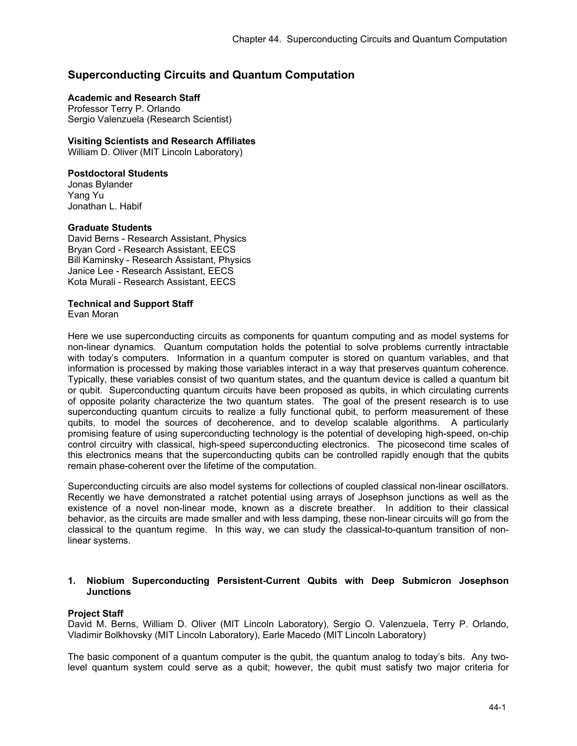# **Superconducting Circuits and Quantum Computation**

# **Academic and Research Staff**

Professor Terry P. Orlando Sergio Valenzuela (Research Scientist)

### **Visiting Scientists and Research Affiliates**

William D. Oliver (MIT Lincoln Laboratory)

### **Postdoctoral Students**

Jonas Bylander Yang Yu Jonathan L. Habif

### **Graduate Students**

David Berns - Research Assistant, Physics Bryan Cord - Research Assistant, EECS Bill Kaminsky - Research Assistant, Physics Janice Lee - Research Assistant, EECS Kota Murali - Research Assistant, EECS

### **Technical and Support Staff**

Evan Moran

Here we use superconducting circuits as components for quantum computing and as model systems for non-linear dynamics. Quantum computation holds the potential to solve problems currently intractable with today's computers. Information in a quantum computer is stored on quantum variables, and that information is processed by making those variables interact in a way that preserves quantum coherence. Typically, these variables consist of two quantum states, and the quantum device is called a quantum bit or qubit. Superconducting quantum circuits have been proposed as qubits, in which circulating currents of opposite polarity characterize the two quantum states. The goal of the present research is to use superconducting quantum circuits to realize a fully functional qubit, to perform measurement of these qubits, to model the sources of decoherence, and to develop scalable algorithms. A particularly promising feature of using superconducting technology is the potential of developing high-speed, on-chip control circuitry with classical, high-speed superconducting electronics. The picosecond time scales of this electronics means that the superconducting qubits can be controlled rapidly enough that the qubits remain phase-coherent over the lifetime of the computation.

Superconducting circuits are also model systems for collections of coupled classical non-linear oscillators. Recently we have demonstrated a ratchet potential using arrays of Josephson junctions as well as the existence of a novel non-linear mode, known as a discrete breather. In addition to their classical behavior, as the circuits are made smaller and with less damping, these non-linear circuits will go from the classical to the quantum regime. In this way, we can study the classical-to-quantum transition of nonlinear systems.

### **1. Niobium Superconducting Persistent-Current Qubits with Deep Submicron Josephson Junctions**

### **Project Staff**

David M. Berns, William D. Oliver (MIT Lincoln Laboratory), Sergio O. Valenzuela, Terry P. Orlando, Vladimir Bolkhovsky (MIT Lincoln Laboratory), Earle Macedo (MIT Lincoln Laboratory)

The basic component of a quantum computer is the qubit, the quantum analog to today's bits. Any twolevel quantum system could serve as a qubit; however, the qubit must satisfy two major criteria for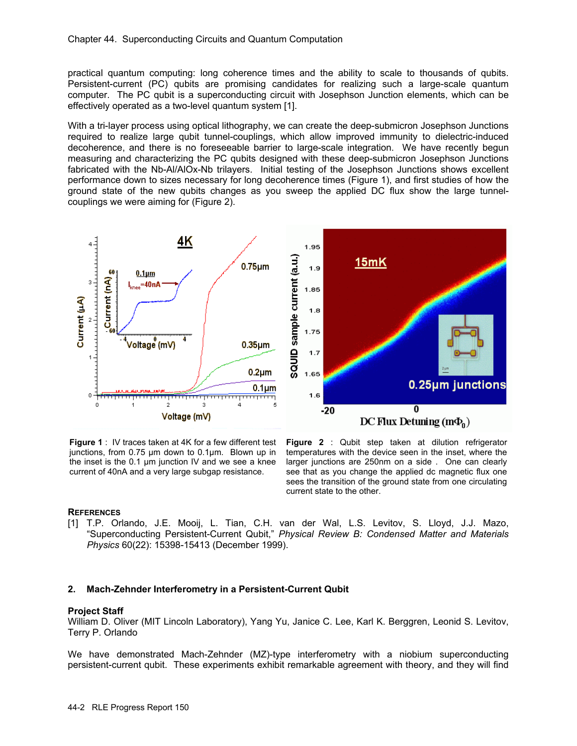practical quantum computing: long coherence times and the ability to scale to thousands of qubits. Persistent-current (PC) qubits are promising candidates for realizing such a large-scale quantum computer. The PC qubit is a superconducting circuit with Josephson Junction elements, which can be effectively operated as a two-level quantum system [1].

With a tri-layer process using optical lithography, we can create the deep-submicron Josephson Junctions required to realize large qubit tunnel-couplings, which allow improved immunity to dielectric-induced decoherence, and there is no foreseeable barrier to large-scale integration. We have recently begun measuring and characterizing the PC qubits designed with these deep-submicron Josephson Junctions fabricated with the Nb-Al/AlOx-Nb trilayers. Initial testing of the Josephson Junctions shows excellent performance down to sizes necessary for long decoherence times (Figure 1), and first studies of how the ground state of the new qubits changes as you sweep the applied DC flux show the large tunnelcouplings we were aiming for (Figure 2).



junctions, from 0.75 µm down to 0.1µm. Blown up in the inset is the 0.1 µm junction IV and we see a knee current of 40nA and a very large subgap resistance.

**Figure 1** : IV traces taken at 4K for a few different test **Figure 2** : Qubit step taken at dilution refrigerator temperatures with the device seen in the inset, where the larger junctions are 250nm on a side . One can clearly see that as you change the applied dc magnetic flux one sees the transition of the ground state from one circulating current state to the other.

### **REFERENCES**

[1] T.P. Orlando, J.E. Mooij, L. Tian, C.H. van der Wal, L.S. Levitov, S. Lloyd, J.J. Mazo, "Superconducting Persistent-Current Qubit," *Physical Review B: Condensed Matter and Materials Physics* 60(22): 15398-15413 (December 1999).

### **2. Mach-Zehnder Interferometry in a Persistent-Current Qubit**

### **Project Staff**

William D. Oliver (MIT Lincoln Laboratory), Yang Yu, Janice C. Lee, Karl K. Berggren, Leonid S. Levitov, Terry P. Orlando

We have demonstrated Mach-Zehnder (MZ)-type interferometry with a niobium superconducting persistent-current qubit. These experiments exhibit remarkable agreement with theory, and they will find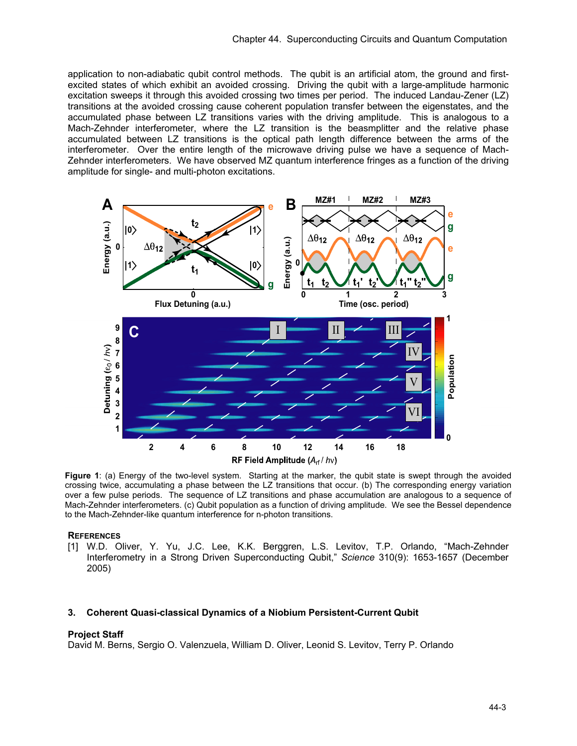application to non-adiabatic qubit control methods. The qubit is an artificial atom, the ground and firstexcited states of which exhibit an avoided crossing. Driving the qubit with a large-amplitude harmonic excitation sweeps it through this avoided crossing two times per period. The induced Landau-Zener (LZ) transitions at the avoided crossing cause coherent population transfer between the eigenstates, and the accumulated phase between LZ transitions varies with the driving amplitude. This is analogous to a Mach-Zehnder interferometer, where the LZ transition is the beasmplitter and the relative phase accumulated between LZ transitions is the optical path length difference between the arms of the interferometer. Over the entire length of the microwave driving pulse we have a sequence of Mach-Zehnder interferometers. We have observed MZ quantum interference fringes as a function of the driving amplitude for single- and multi-photon excitations.



**Figure 1**: (a) Energy of the two-level system. Starting at the marker, the qubit state is swept through the avoided crossing twice, accumulating a phase between the LZ transitions that occur. (b) The corresponding energy variation over a few pulse periods. The sequence of LZ transitions and phase accumulation are analogous to a sequence of Mach-Zehnder interferometers. (c) Qubit population as a function of driving amplitude. We see the Bessel dependence to the Mach-Zehnder-like quantum interference for n-photon transitions.

#### **REFERENCES**

[1] W.D. Oliver, Y. Yu, J.C. Lee, K.K. Berggren, L.S. Levitov, T.P. Orlando, "Mach-Zehnder Interferometry in a Strong Driven Superconducting Qubit," *Science* 310(9): 1653-1657 (December 2005)

### **3. Coherent Quasi-classical Dynamics of a Niobium Persistent-Current Qubit**

#### **Project Staff**

David M. Berns, Sergio O. Valenzuela, William D. Oliver, Leonid S. Levitov, Terry P. Orlando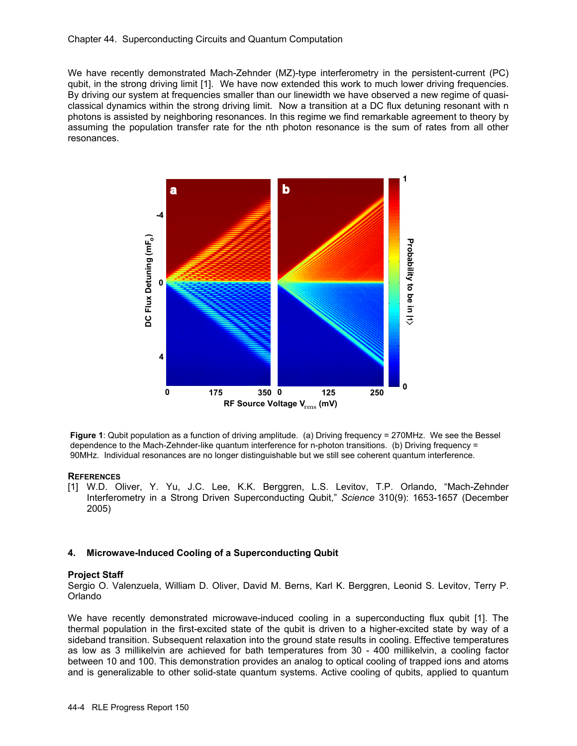We have recently demonstrated Mach-Zehnder (MZ)-type interferometry in the persistent-current (PC) qubit, in the strong driving limit [1]. We have now extended this work to much lower driving frequencies. By driving our system at frequencies smaller than our linewidth we have observed a new regime of quasiclassical dynamics within the strong driving limit. Now a transition at a DC flux detuning resonant with n photons is assisted by neighboring resonances. In this regime we find remarkable agreement to theory by assuming the population transfer rate for the nth photon resonance is the sum of rates from all other resonances.



**Figure 1**: Qubit population as a function of driving amplitude. (a) Driving frequency = 270MHz. We see the Bessel dependence to the Mach-Zehnder-like quantum interference for n-photon transitions. (b) Driving frequency = 90MHz. Individual resonances are no longer distinguishable but we still see coherent quantum interference.

### **REFERENCES**

[1] W.D. Oliver, Y. Yu, J.C. Lee, K.K. Berggren, L.S. Levitov, T.P. Orlando, "Mach-Zehnder Interferometry in a Strong Driven Superconducting Qubit," *Science* 310(9): 1653-1657 (December 2005)

# **4. Microwave-Induced Cooling of a Superconducting Qubit**

### **Project Staff**

Sergio O. Valenzuela, William D. Oliver, David M. Berns, Karl K. Berggren, Leonid S. Levitov, Terry P. Orlando

We have recently demonstrated microwave-induced cooling in a superconducting flux qubit [1]. The thermal population in the first-excited state of the qubit is driven to a higher-excited state by way of a sideband transition. Subsequent relaxation into the ground state results in cooling. Effective temperatures as low as 3 millikelvin are achieved for bath temperatures from 30 - 400 millikelvin, a cooling factor between 10 and 100. This demonstration provides an analog to optical cooling of trapped ions and atoms and is generalizable to other solid-state quantum systems. Active cooling of qubits, applied to quantum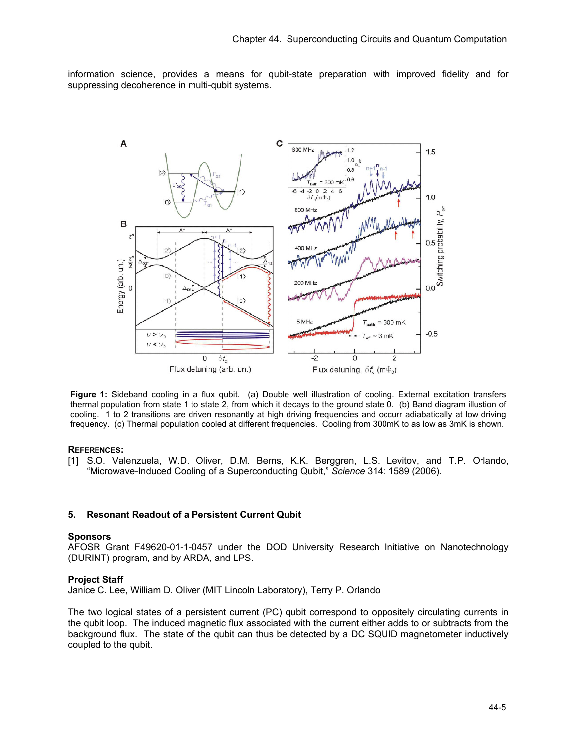information science, provides a means for qubit-state preparation with improved fidelity and for suppressing decoherence in multi-qubit systems.



**Figure 1:** Sideband cooling in a flux qubit. (a) Double well illustration of cooling. External excitation transfers thermal population from state 1 to state 2, from which it decays to the ground state 0. (b) Band diagram illustion of cooling. 1 to 2 transitions are driven resonantly at high driving frequencies and occurr adiabatically at low driving frequency. (c) Thermal population cooled at different frequencies. Cooling from 300mK to as low as 3mK is shown.

#### **REFERENCES:**

[1] S.O. Valenzuela, W.D. Oliver, D.M. Berns, K.K. Berggren, L.S. Levitov, and T.P. Orlando, "Microwave-Induced Cooling of a Superconducting Qubit," *Science* 314: 1589 (2006).

### **5. Resonant Readout of a Persistent Current Qubit**

#### **Sponsors**

AFOSR Grant F49620-01-1-0457 under the DOD University Research Initiative on Nanotechnology (DURINT) program, and by ARDA, and LPS.

#### **Project Staff**

Janice C. Lee, William D. Oliver (MIT Lincoln Laboratory), Terry P. Orlando

The two logical states of a persistent current (PC) qubit correspond to oppositely circulating currents in the qubit loop. The induced magnetic flux associated with the current either adds to or subtracts from the background flux. The state of the qubit can thus be detected by a DC SQUID magnetometer inductively coupled to the qubit.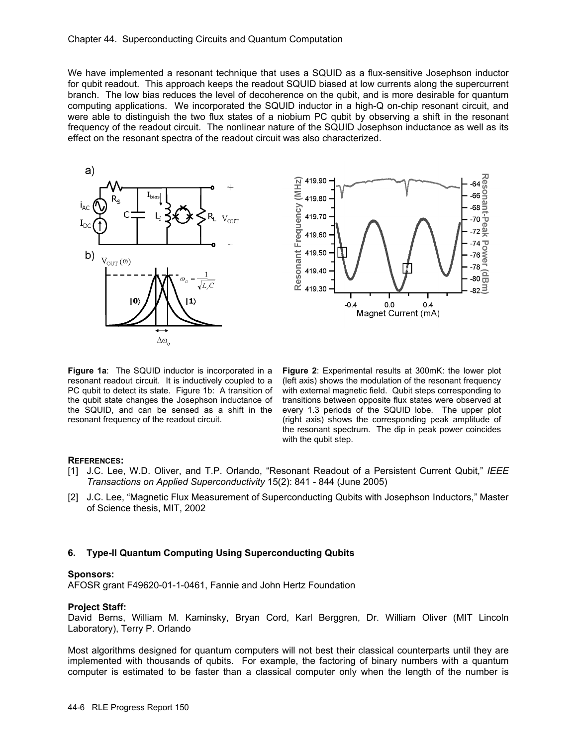We have implemented a resonant technique that uses a SQUID as a flux-sensitive Josephson inductor for qubit readout. This approach keeps the readout SQUID biased at low currents along the supercurrent branch. The low bias reduces the level of decoherence on the qubit, and is more desirable for quantum computing applications. We incorporated the SQUID inductor in a high-Q on-chip resonant circuit, and were able to distinguish the two flux states of a niobium PC qubit by observing a shift in the resonant frequency of the readout circuit. The nonlinear nature of the SQUID Josephson inductance as well as its effect on the resonant spectra of the readout circuit was also characterized.





**Figure 1a:** The SQUID inductor is incorporated in a resonant readout circuit. It is inductively coupled to a PC qubit to detect its state. Figure 1b: A transition of the qubit state changes the Josephson inductance of the SQUID, and can be sensed as a shift in the resonant frequency of the readout circuit.

**Figure 2**: Experimental results at 300mK: the lower plot (left axis) shows the modulation of the resonant frequency with external magnetic field. Qubit steps corresponding to transitions between opposite flux states were observed at every 1.3 periods of the SQUID lobe. The upper plot (right axis) shows the corresponding peak amplitude of the resonant spectrum. The dip in peak power coincides with the qubit step.

### **REFERENCES:**

- [1] J.C. Lee, W.D. Oliver, and T.P. Orlando, "Resonant Readout of a Persistent Current Qubit," *IEEE Transactions on Applied Superconductivity* 15(2): 841 - 844 (June 2005)
- [2] J.C. Lee, "Magnetic Flux Measurement of Superconducting Qubits with Josephson Inductors," Master of Science thesis, MIT, 2002

### **6. Type-II Quantum Computing Using Superconducting Qubits**

#### **Sponsors:**

AFOSR grant F49620-01-1-0461, Fannie and John Hertz Foundation

#### **Project Staff:**

David Berns, William M. Kaminsky, Bryan Cord, Karl Berggren, Dr. William Oliver (MIT Lincoln Laboratory), Terry P. Orlando

Most algorithms designed for quantum computers will not best their classical counterparts until they are implemented with thousands of qubits. For example, the factoring of binary numbers with a quantum computer is estimated to be faster than a classical computer only when the length of the number is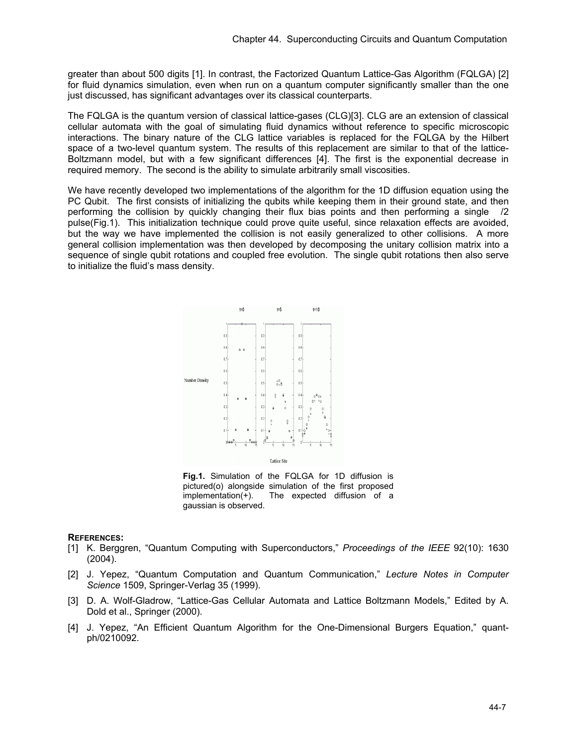greater than about 500 digits [1]. In contrast, the Factorized Quantum Lattice-Gas Algorithm (FQLGA) [2] for fluid dynamics simulation, even when run on a quantum computer significantly smaller than the one just discussed, has significant advantages over its classical counterparts.

The FQLGA is the quantum version of classical lattice-gases (CLG)[3]. CLG are an extension of classical cellular automata with the goal of simulating fluid dynamics without reference to specific microscopic interactions. The binary nature of the CLG lattice variables is replaced for the FQLGA by the Hilbert space of a two-level quantum system. The results of this replacement are similar to that of the lattice-Boltzmann model, but with a few significant differences [4]. The first is the exponential decrease in required memory. The second is the ability to simulate arbitrarily small viscosities.

We have recently developed two implementations of the algorithm for the 1D diffusion equation using the PC Qubit. The first consists of initializing the qubits while keeping them in their ground state, and then performing the collision by quickly changing their flux bias points and then performing a single /2 pulse(Fig.1). This initialization technique could prove quite useful, since relaxation effects are avoided, but the way we have implemented the collision is not easily generalized to other collisions. A more general collision implementation was then developed by decomposing the unitary collision matrix into a sequence of single qubit rotations and coupled free evolution. The single qubit rotations then also serve to initialize the fluid's mass density.



**Fig.1.** Simulation of the FQLGA for 1D diffusion is pictured(o) alongside simulation of the first proposed implementation(+). The expected diffusion of a gaussian is observed.

### **REFERENCES:**

- [1] K. Berggren, "Quantum Computing with Superconductors," *Proceedings of the IEEE* 92(10): 1630 (2004).
- [2] J. Yepez, "Quantum Computation and Quantum Communication," *Lecture Notes in Computer Science* 1509, Springer-Verlag 35 (1999).
- [3] D. A. Wolf-Gladrow, "Lattice-Gas Cellular Automata and Lattice Boltzmann Models," Edited by A. Dold et al., Springer (2000).
- [4] J. Yepez, "An Efficient Quantum Algorithm for the One-Dimensional Burgers Equation," quantph/0210092.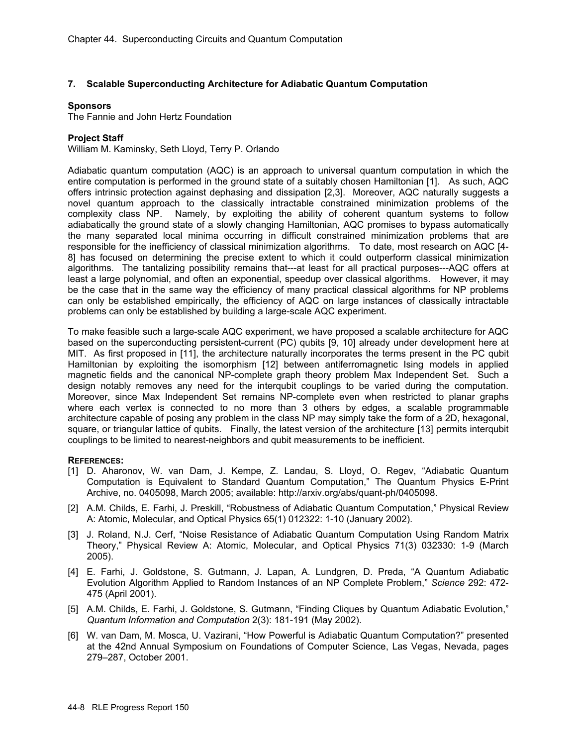### **7. Scalable Superconducting Architecture for Adiabatic Quantum Computation**

### **Sponsors**

The Fannie and John Hertz Foundation

### **Project Staff**

William M. Kaminsky, Seth Lloyd, Terry P. Orlando

Adiabatic quantum computation (AQC) is an approach to universal quantum computation in which the entire computation is performed in the ground state of a suitably chosen Hamiltonian [1]. As such, AQC offers intrinsic protection against dephasing and dissipation [2,3]. Moreover, AQC naturally suggests a novel quantum approach to the classically intractable constrained minimization problems of the complexity class NP. Namely, by exploiting the ability of coherent quantum systems to follow adiabatically the ground state of a slowly changing Hamiltonian, AQC promises to bypass automatically the many separated local minima occurring in difficult constrained minimization problems that are responsible for the inefficiency of classical minimization algorithms. To date, most research on AQC [4- 8] has focused on determining the precise extent to which it could outperform classical minimization algorithms. The tantalizing possibility remains that---at least for all practical purposes---AQC offers at least a large polynomial, and often an exponential, speedup over classical algorithms. However, it may be the case that in the same way the efficiency of many practical classical algorithms for NP problems can only be established empirically, the efficiency of AQC on large instances of classically intractable problems can only be established by building a large-scale AQC experiment.

To make feasible such a large-scale AQC experiment, we have proposed a scalable architecture for AQC based on the superconducting persistent-current (PC) qubits [9, 10] already under development here at MIT. As first proposed in [11], the architecture naturally incorporates the terms present in the PC qubit Hamiltonian by exploiting the isomorphism [12] between antiferromagnetic Ising models in applied magnetic fields and the canonical NP-complete graph theory problem Max Independent Set. Such a design notably removes any need for the interqubit couplings to be varied during the computation. Moreover, since Max Independent Set remains NP-complete even when restricted to planar graphs where each vertex is connected to no more than 3 others by edges, a scalable programmable architecture capable of posing any problem in the class NP may simply take the form of a 2D, hexagonal, square, or triangular lattice of qubits. Finally, the latest version of the architecture [13] permits interqubit couplings to be limited to nearest-neighbors and qubit measurements to be inefficient.

### **REFERENCES:**

- [1] D. Aharonov, W. van Dam, J. Kempe, Z. Landau, S. Lloyd, O. Regev, "Adiabatic Quantum Computation is Equivalent to Standard Quantum Computation," The Quantum Physics E-Print Archive, no. 0405098, March 2005; available: http://arxiv.org/abs/quant-ph/0405098.
- [2] A.M. Childs, E. Farhi, J. Preskill, "Robustness of Adiabatic Quantum Computation," Physical Review A: Atomic, Molecular, and Optical Physics 65(1) 012322: 1-10 (January 2002).
- [3] J. Roland, N.J. Cerf, "Noise Resistance of Adiabatic Quantum Computation Using Random Matrix Theory," Physical Review A: Atomic, Molecular, and Optical Physics 71(3) 032330: 1-9 (March 2005).
- [4] E. Farhi, J. Goldstone, S. Gutmann, J. Lapan, A. Lundgren, D. Preda, "A Quantum Adiabatic Evolution Algorithm Applied to Random Instances of an NP Complete Problem," *Science* 292: 472- 475 (April 2001).
- [5] A.M. Childs, E. Farhi, J. Goldstone, S. Gutmann, "Finding Cliques by Quantum Adiabatic Evolution," *Quantum Information and Computation* 2(3): 181-191 (May 2002).
- [6] W. van Dam, M. Mosca, U. Vazirani, "How Powerful is Adiabatic Quantum Computation?" presented at the 42nd Annual Symposium on Foundations of Computer Science, Las Vegas, Nevada, pages 279–287, October 2001.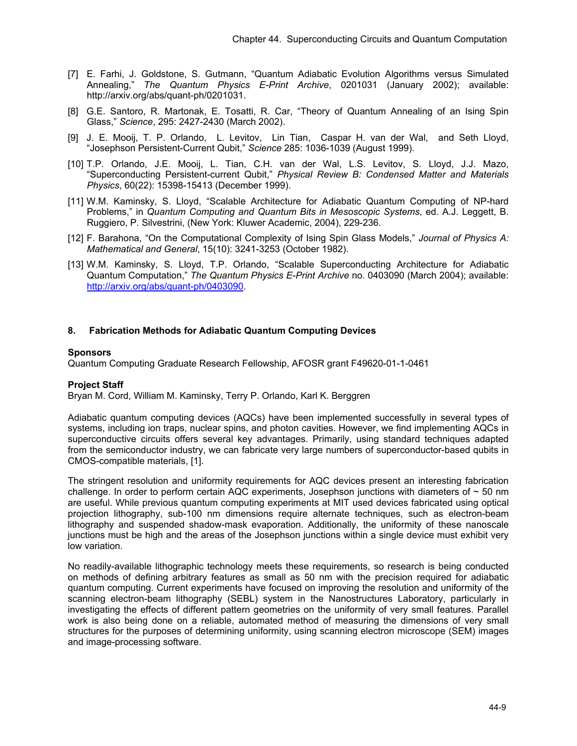- [7] E. Farhi, J. Goldstone, S. Gutmann, "Quantum Adiabatic Evolution Algorithms versus Simulated Annealing," *The Quantum Physics E-Print Archive*, 0201031 (January 2002); available: http://arxiv.org/abs/quant-ph/0201031.
- [8] G.E. Santoro, R. Martonak, E. Tosatti, R. Car, "Theory of Quantum Annealing of an Ising Spin Glass," *Science*, 295: 2427-2430 (March 2002).
- [9] J. E. Mooij, T. P. Orlando, L. Levitov, Lin Tian, Caspar H. van der Wal, and Seth Lloyd, "Josephson Persistent-Current Qubit," *Science* 285: 1036-1039 (August 1999).
- [10] T.P. Orlando, J.E. Mooij, L. Tian, C.H. van der Wal, L.S. Levitov, S. Lloyd, J.J. Mazo, "Superconducting Persistent-current Qubit," *Physical Review B: Condensed Matter and Materials Physics*, 60(22): 15398-15413 (December 1999).
- [11] W.M. Kaminsky, S. Lloyd, "Scalable Architecture for Adiabatic Quantum Computing of NP-hard Problems," in *Quantum Computing and Quantum Bits in Mesoscopic Systems*, ed. A.J. Leggett, B. Ruggiero, P. Silvestrini, (New York: Kluwer Academic, 2004), 229-236.
- [12] F. Barahona, "On the Computational Complexity of Ising Spin Glass Models," *Journal of Physics A: Mathematical and General*, 15(10): 3241-3253 (October 1982).
- [13] W.M. Kaminsky, S. Lloyd, T.P. Orlando, "Scalable Superconducting Architecture for Adiabatic Quantum Computation," *The Quantum Physics E-Print Archive* no. 0403090 (March 2004); available: http://arxiv.org/abs/quant-ph/0403090.

# **8. Fabrication Methods for Adiabatic Quantum Computing Devices**

### **Sponsors**

Quantum Computing Graduate Research Fellowship, AFOSR grant F49620-01-1-0461

### **Project Staff**

Bryan M. Cord, William M. Kaminsky, Terry P. Orlando, Karl K. Berggren

Adiabatic quantum computing devices (AQCs) have been implemented successfully in several types of systems, including ion traps, nuclear spins, and photon cavities. However, we find implementing AQCs in superconductive circuits offers several key advantages. Primarily, using standard techniques adapted from the semiconductor industry, we can fabricate very large numbers of superconductor-based qubits in CMOS-compatible materials, [1].

The stringent resolution and uniformity requirements for AQC devices present an interesting fabrication challenge. In order to perform certain AQC experiments, Josephson junctions with diameters of  $\sim$  50 nm are useful. While previous quantum computing experiments at MIT used devices fabricated using optical projection lithography, sub-100 nm dimensions require alternate techniques, such as electron-beam lithography and suspended shadow-mask evaporation. Additionally, the uniformity of these nanoscale junctions must be high and the areas of the Josephson junctions within a single device must exhibit very low variation.

No readily-available lithographic technology meets these requirements, so research is being conducted on methods of defining arbitrary features as small as 50 nm with the precision required for adiabatic quantum computing. Current experiments have focused on improving the resolution and uniformity of the scanning electron-beam lithography (SEBL) system in the Nanostructures Laboratory, particularly in investigating the effects of different pattern geometries on the uniformity of very small features. Parallel work is also being done on a reliable, automated method of measuring the dimensions of very small structures for the purposes of determining uniformity, using scanning electron microscope (SEM) images and image-processing software.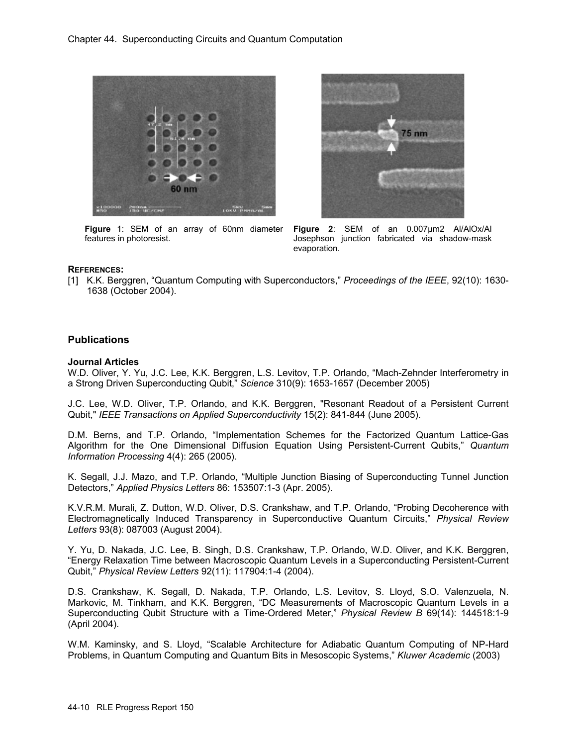

**Figure** 1: SEM of an array of 60nm diameter features in photoresist.



**Figure 2**: SEM of an 0.007µm2 Al/AlOx/Al Josephson junction fabricated via shadow-mask evaporation.

### **REFERENCES:**

[1] K.K. Berggren, "Quantum Computing with Superconductors," *Proceedings of the IEEE*, 92(10): 1630- 1638 (October 2004).

# **Publications**

#### **Journal Articles**

W.D. Oliver, Y. Yu, J.C. Lee, K.K. Berggren, L.S. Levitov, T.P. Orlando, "Mach-Zehnder Interferometry in a Strong Driven Superconducting Qubit," *Science* 310(9): 1653-1657 (December 2005)

J.C. Lee, W.D. Oliver, T.P. Orlando, and K.K. Berggren, "Resonant Readout of a Persistent Current Qubit," *IEEE Transactions on Applied Superconductivity* 15(2): 841-844 (June 2005).

D.M. Berns, and T.P. Orlando, "Implementation Schemes for the Factorized Quantum Lattice-Gas Algorithm for the One Dimensional Diffusion Equation Using Persistent-Current Qubits," *Quantum Information Processing* 4(4): 265 (2005).

K. Segall, J.J. Mazo, and T.P. Orlando, "Multiple Junction Biasing of Superconducting Tunnel Junction Detectors," *Applied Physics Letters* 86: 153507:1-3 (Apr. 2005).

K.V.R.M. Murali, Z. Dutton, W.D. Oliver, D.S. Crankshaw, and T.P. Orlando, "Probing Decoherence with Electromagnetically Induced Transparency in Superconductive Quantum Circuits," *Physical Review Letters* 93(8): 087003 (August 2004).

Y. Yu, D. Nakada, J.C. Lee, B. Singh, D.S. Crankshaw, T.P. Orlando, W.D. Oliver, and K.K. Berggren, "Energy Relaxation Time between Macroscopic Quantum Levels in a Superconducting Persistent-Current Qubit," *Physical Review Letters* 92(11): 117904:1-4 (2004).

D.S. Crankshaw, K. Segall, D. Nakada, T.P. Orlando, L.S. Levitov, S. Lloyd, S.O. Valenzuela, N. Markovic, M. Tinkham, and K.K. Berggren, "DC Measurements of Macroscopic Quantum Levels in a Superconducting Qubit Structure with a Time-Ordered Meter," *Physical Review B* 69(14): 144518:1-9 (April 2004).

W.M. Kaminsky, and S. Lloyd, "Scalable Architecture for Adiabatic Quantum Computing of NP-Hard Problems, in Quantum Computing and Quantum Bits in Mesoscopic Systems," *Kluwer Academic* (2003)